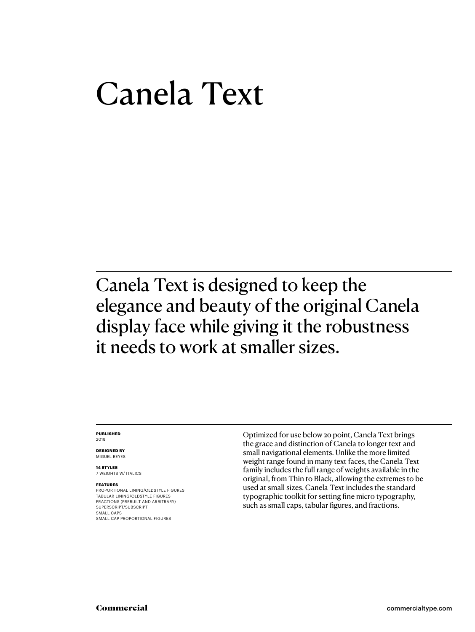# Canela Text

Canela Text is designed to keep the elegance and beauty of the original Canela display face while giving it the robustness it needs to work at smaller sizes.

#### **PUBLISHED** 2018

**DESIGNED BY** MIGUEL REYES

**14 STYLES** 7 WEIGHTS W/ ITALICS

#### **FEATURES**

PROPORTIONAL LINING/OLDSTYLE FIGURES TABULAR LINING/OLDSTYLE FIGURES FRACTIONS (PREBUILT AND ARBITRARY) SUPERSCRIPT/SUBSCRIPT SMALL CAPS SMALL CAP PROPORTIONAL FIGURES

Optimized for use below 20 point, Canela Text brings the grace and distinction of Canela to longer text and small navigational elements. Unlike the more limited weight range found in many text faces, the Canela Text family includes the full range of weights available in the original, from Thin to Black, allowing the extremes to be used at small sizes. Canela Text includes the standard typographic toolkit for setting fine micro typography, such as small caps, tabular figures, and fractions.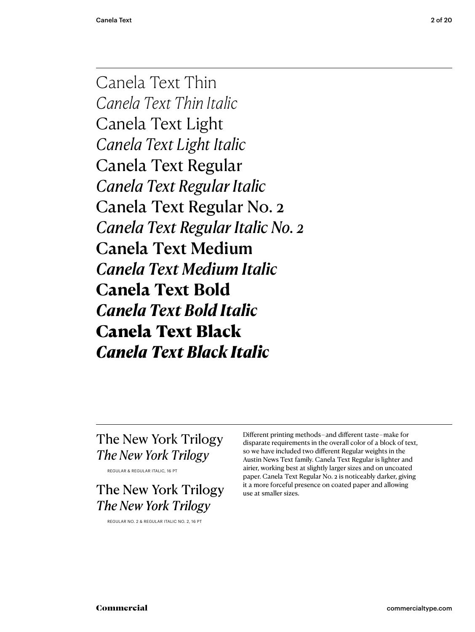Canela Text Thin *Canela Text Thin Italic* Canela Text Light *Canela Text Light Italic* Canela Text Regular *Canela Text Regular Italic* Canela Text Regular No. 2 *Canela Text Regular Italic No. 2* Canela Text Medium *Canela Text Medium Italic* **Canela Text Bold** *Canela Text Bold Italic* Canela Text Black *Canela Text Black Italic*

# The New York Trilogy *The New York Trilogy*

REGULAR & REGULAR ITALIC, 16 PT

The New York Trilogy *The New York Trilogy*

REGULAR NO. 2 & REGULAR ITALIC NO. 2, 16 PT

Different printing methods – and different taste – make for disparate requirements in the overall color of a block of text, so we have included two different Regular weights in the Austin News Text family. Canela Text Regular is lighter and airier, working best at slightly larger sizes and on uncoated paper. Canela Text Regular No. 2 is noticeably darker, giving it a more forceful presence on coated paper and allowing use at smaller sizes.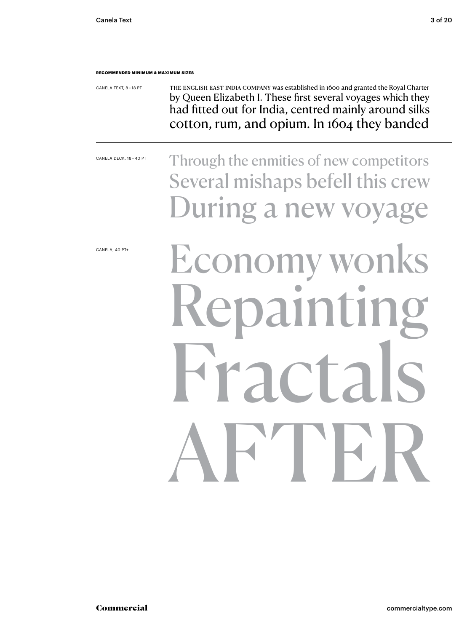| <b>RECOMMENDED MINIMUM &amp; MAXIMUM SIZES</b> |                                                                                                                                                                                                                                                              |  |  |  |  |
|------------------------------------------------|--------------------------------------------------------------------------------------------------------------------------------------------------------------------------------------------------------------------------------------------------------------|--|--|--|--|
| CANELA TEXT, 8-18 PT                           | THE ENGLISH EAST INDIA COMPANY was established in 1600 and granted the Royal Charter<br>by Queen Elizabeth I. These first several voyages which they<br>had fitted out for India, centred mainly around silks<br>cotton, rum, and opium. In 1604 they banded |  |  |  |  |
| CANELA DECK, 18 - 40 PT                        | Through the enmities of new competitors<br>Several mishaps befell this crew<br>During a new voyage                                                                                                                                                           |  |  |  |  |
| CANELA, 40 PT+                                 | Economy wonks<br>Repainting<br>racrais<br>AFTER                                                                                                                                                                                                              |  |  |  |  |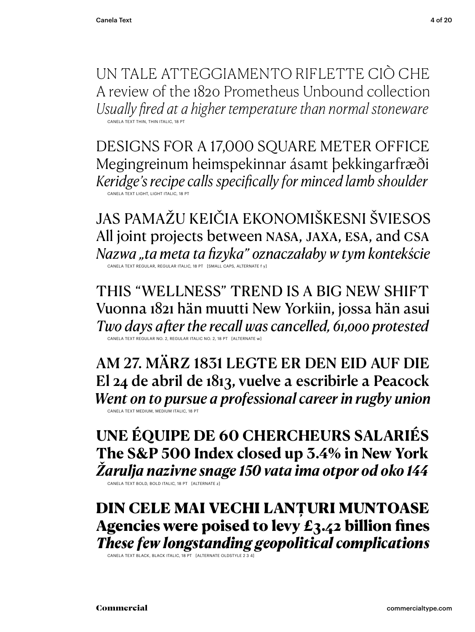UN TALE ATTEGGIAMENTO RIFLETTE CIÒ CHE A review of the 1820 Prometheus Unbound collection *Usually fired at a higher temperature than normal stoneware* CANELA TEXT THIN, THIN ITALIC, 18 PT

DESIGNS FOR A 17,000 SQUARE METER OFFICE Megingreinum heimspekinnar ásamt þekkingarfræði *Keridge's recipe calls specifically for minced lamb shoulder* CANELA TEXT LIGHT, LIGHT ITALIC, 18 PT

JAS PAMAŽU KEIČIA EKONOMIŠKESNI ŠVIESOS All joint projects between NASA, JAXA, esa, and csa *Nazwa "ta meta ta fizyka" oznaczałaby w tym kontekście* CANELA TEXT REGULAR, REGULAR ITALIC, 18 PT [SMALL CAPS, ALTERNATE f y]

THIS "WELLNESS" TREND IS A BIG NEW SHIFT Vuonna 1821 hän muutti New Yorkiin, jossa hän asui *Two days after the recall was cancelled, 61,000 protested* CANELA TEXT REGULAR NO. 2, REGULAR ITALIC NO. 2, 18 PT [ALTERNATE w]

AM 27. MÄRZ 1831 LEGTE ER DEN EID AUF DIE El 24 de abril de 1813, vuelve a escribirle a Peacock *Went on to pursue a professional career in rugby union* CANELA TEXT MEDIUM, MEDIUM ITALIC, 18 PT

**UNE ÉQUIPE DE 60 CHERCHEURS SALARIÉS The S&P 500 Index closed up 3.4% in New York** *Žarulja nazivne snage 150 vata ima otpor od oko 144*

CANELA TEXT BOLD, BOLD ITALIC, 18 PT [ALTERNATE z]

DIN CELE MAI VECHI LANȚURI MUNTOASE Agencies were poised to levy  $E_3.42$  billion fines *These few longstanding geopolitical complications* 

CANELA TEXT BLACK, BLACK ITALIC, 18 PT [ALTERNATE OLDSTYLE 2 3 4]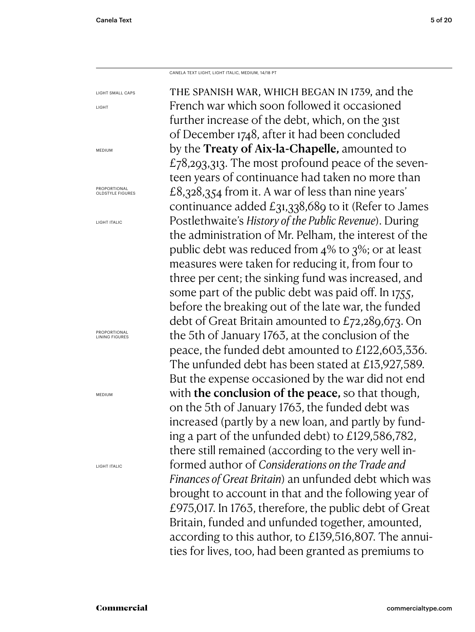LIGHT

CANELA TEXT LIGHT, LIGHT ITALIC, MEDIUM, 14/18 PT

the spanish war, which began in 1739, and the French war which soon followed it occasioned further increase of the debt, which, on the 31st of December 1748, after it had been concluded by the Treaty of Aix-la-Chapelle, amounted to  $£78,293,313.$  The most profound peace of the seventeen years of continuance had taken no more than £8,328,354 from it. A war of less than nine years' continuance added £31,338,689 to it (Refer to James Postlethwaite's *History of the Public Revenue*). During the administration of Mr. Pelham, the interest of the public debt was reduced from 4% to 3%; or at least measures were taken for reducing it, from four to three per cent; the sinking fund was increased, and some part of the public debt was paid off. In 1755, before the breaking out of the late war, the funded debt of Great Britain amounted to £72,289,673. On the 5th of January 1763, at the conclusion of the peace, the funded debt amounted to £122,603,336. The unfunded debt has been stated at £13,927,589. But the expense occasioned by the war did not end with **the conclusion of the peace**, so that though, on the 5th of January 1763, the funded debt was increased (partly by a new loan, and partly by funding a part of the unfunded debt) to £129,586,782, there still remained (according to the very well informed author of *Considerations on the Trade and Finances of Great Britain*) an unfunded debt which was brought to account in that and the following year of £975,017. In 1763, therefore, the public debt of Great Britain, funded and unfunded together, amounted, according to this author, to £139,516,807. The annuities for lives, too, had been granted as premiums to LIGHT SMALL CAPS MEDIUM **PROPORTIONAL** OLDSTYLE FIGURES LIGHT ITALIC **PROPORTIONAL** LINING FIGURES MEDIUM LIGHT ITALIC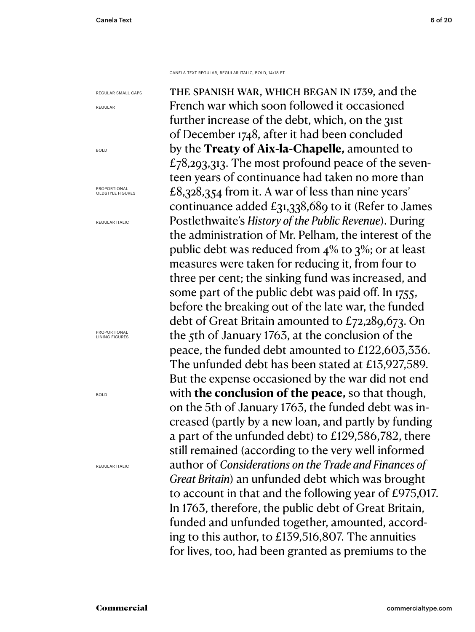CANELA TEXT REGULAR, REGULAR ITALIC, BOLD, 14/18 PT

the spanish war, which began in 1739, and the French war which soon followed it occasioned further increase of the debt, which, on the 31st of December 1748, after it had been concluded by the **Treaty of Aix-la-Chapelle,** amounted to  $£78,293,313.$  The most profound peace of the seventeen years of continuance had taken no more than £8,328,354 from it. A war of less than nine years' continuance added £31,338,689 to it (Refer to James Postlethwaite's *History of the Public Revenue*). During the administration of Mr. Pelham, the interest of the public debt was reduced from 4% to 3%; or at least measures were taken for reducing it, from four to three per cent; the sinking fund was increased, and some part of the public debt was paid off. In 1755, before the breaking out of the late war, the funded debt of Great Britain amounted to £72,289,673. On the 5th of January 1763, at the conclusion of the peace, the funded debt amounted to £122,603,336. The unfunded debt has been stated at £13,927,589. But the expense occasioned by the war did not end with **the conclusion of the peace,** so that though, on the 5th of January 1763, the funded debt was increased (partly by a new loan, and partly by funding a part of the unfunded debt) to £129,586,782, there still remained (according to the very well informed author of *Considerations on the Trade and Finances of Great Britain*) an unfunded debt which was brought to account in that and the following year of £975,017. In 1763, therefore, the public debt of Great Britain, funded and unfunded together, amounted, according to this author, to £139,516,807. The annuities for lives, too, had been granted as premiums to the REGULAR SMALL CAPS REGULAR BOLD **PROPORTIONAL** OLDSTYLE FIGURES REGULAR ITALIC **PROPORTIONAL** LINING FIGURES BOLD REGULAR ITALIC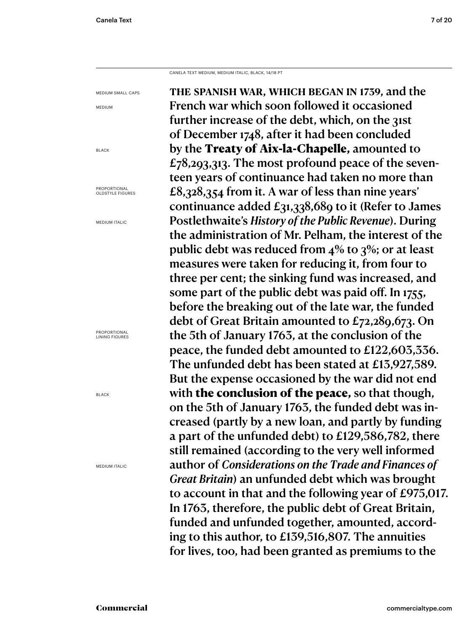CANELA TEXT MEDIUM, MEDIUM ITALIC, BLACK, 14/18 PT

the spanish war, which began in 1739, and the French war which soon followed it occasioned further increase of the debt, which, on the 31st of December 1748, after it had been concluded by the Treaty of Aix-la-Chapelle, amounted to  $£78,293,313.$  The most profound peace of the seventeen years of continuance had taken no more than £8,328,354 from it. A war of less than nine years' continuance added £31,338,689 to it (Refer to James Postlethwaite's *History of the Public Revenue*). During the administration of Mr. Pelham, the interest of the public debt was reduced from 4% to 3%; or at least measures were taken for reducing it, from four to three per cent; the sinking fund was increased, and some part of the public debt was paid off. In 1755, before the breaking out of the late war, the funded debt of Great Britain amounted to £72,289,673. On the 5th of January 1763, at the conclusion of the peace, the funded debt amounted to £122,603,336. The unfunded debt has been stated at £13,927,589. But the expense occasioned by the war did not end with the conclusion of the peace, so that though, on the 5th of January 1763, the funded debt was increased (partly by a new loan, and partly by funding a part of the unfunded debt) to £129,586,782, there still remained (according to the very well informed author of *Considerations on the Trade and Finances of Great Britain*) an unfunded debt which was brought to account in that and the following year of £975,017. In 1763, therefore, the public debt of Great Britain, funded and unfunded together, amounted, according to this author, to £139,516,807. The annuities for lives, too, had been granted as premiums to the MEDIUM SMALL CAPS MEDIUM BLACK **PROPORTIONAL** OLDSTYLE FIGURES MEDIUM ITALIC **PROPORTIONAL** 

LINING FIGURES

BLACK

MEDIUM ITALIC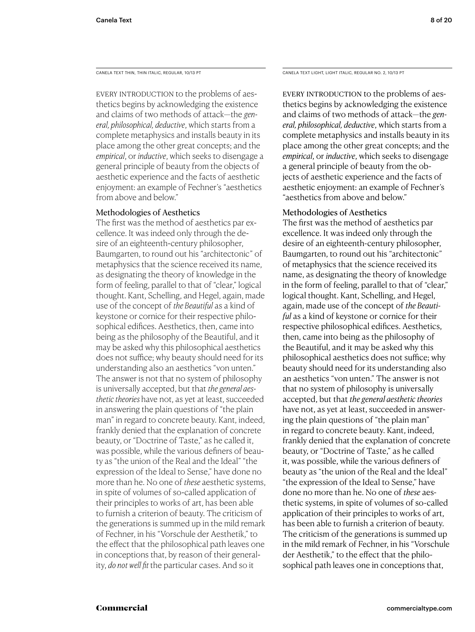EVERY INTRODUCTION to the problems of aesthetics begins by acknowledging the existence and claims of two methods of attack—the *general, philosophical, deductive*, which starts from a complete metaphysics and installs beauty in its place among the other great concepts; and the *empirical*, or *inductive*, which seeks to disengage a general principle of beauty from the objects of aesthetic experience and the facts of aesthetic enjoyment: an example of Fechner's "aesthetics from above and below."

# Methodologies of Aesthetics

The first was the method of aesthetics par excellence. It was indeed only through the desire of an eighteenth-century philosopher, Baumgarten, to round out his "architectonic" of metaphysics that the science received its name, as designating the theory of knowledge in the form of feeling, parallel to that of "clear," logical thought. Kant, Schelling, and Hegel, again, made use of the concept of *the Beautiful* as a kind of keystone or cornice for their respective philosophical edifices. Aesthetics, then, came into being as the philosophy of the Beautiful, and it may be asked why this philosophical aesthetics does not suffice; why beauty should need for its understanding also an aesthetics "von unten." The answer is not that no system of philosophy is universally accepted, but that *the general aesthetic theories* have not, as yet at least, succeeded in answering the plain questions of "the plain man" in regard to concrete beauty. Kant, indeed, frankly denied that the explanation of concrete beauty, or "Doctrine of Taste," as he called it, was possible, while the various definers of beauty as "the union of the Real and the Ideal" "the expression of the Ideal to Sense," have done no more than he. No one of *these* aesthetic systems, in spite of volumes of so-called application of their principles to works of art, has been able to furnish a criterion of beauty. The criticism of the generations is summed up in the mild remark of Fechner, in his "Vorschule der Aesthetik," to the effect that the philosophical path leaves one in conceptions that, by reason of their generality, *do not well fit* the particular cases. And so it

CANELA TEXT THIN, THIN ITALIC, REGULAR, 10/13 PT CANELA TEXT LIGHT, LIGHT ITALIC, REGULAR NO. 2, 10/13 PT

EVERY INTRODUCTION to the problems of aesthetics begins by acknowledging the existence and claims of two methods of attack—the *general, philosophical, deductive*, which starts from a complete metaphysics and installs beauty in its place among the other great concepts; and the *empirical*, or *inductive*, which seeks to disengage a general principle of beauty from the objects of aesthetic experience and the facts of aesthetic enjoyment: an example of Fechner's "aesthetics from above and below."

# Methodologies of Aesthetics

The first was the method of aesthetics par excellence. It was indeed only through the desire of an eighteenth-century philosopher, Baumgarten, to round out his "architectonic" of metaphysics that the science received its name, as designating the theory of knowledge in the form of feeling, parallel to that of "clear," logical thought. Kant, Schelling, and Hegel, again, made use of the concept of *the Beautiful* as a kind of keystone or cornice for their respective philosophical edifices. Aesthetics, then, came into being as the philosophy of the Beautiful, and it may be asked why this philosophical aesthetics does not suffice; why beauty should need for its understanding also an aesthetics "von unten." The answer is not that no system of philosophy is universally accepted, but that *the general aesthetic theories*  have not, as yet at least, succeeded in answering the plain questions of "the plain man" in regard to concrete beauty. Kant, indeed, frankly denied that the explanation of concrete beauty, or "Doctrine of Taste," as he called it, was possible, while the various definers of beauty as "the union of the Real and the Ideal" "the expression of the Ideal to Sense," have done no more than he. No one of *these* aesthetic systems, in spite of volumes of so-called application of their principles to works of art, has been able to furnish a criterion of beauty. The criticism of the generations is summed up in the mild remark of Fechner, in his "Vorschule der Aesthetik," to the effect that the philosophical path leaves one in conceptions that,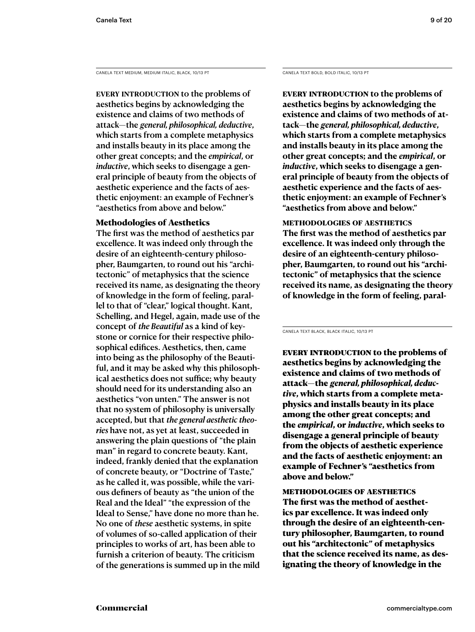CANELA TEXT MEDIUM, MEDIUM ITALIC, BLACK, 10/13 PT CANELA TEXT BOLD, BOLD ITALIC, 10/13 PT

EVERY INTRODUCTION to the problems of aesthetics begins by acknowledging the existence and claims of two methods of attack—the *general, philosophical, deductive*, which starts from a complete metaphysics and installs beauty in its place among the other great concepts; and the *empirical*, or *inductive*, which seeks to disengage a general principle of beauty from the objects of aesthetic experience and the facts of aesthetic enjoyment: an example of Fechner's "aesthetics from above and below."

# Methodologies of Aesthetics

The first was the method of aesthetics par excellence. It was indeed only through the desire of an eighteenth-century philosopher, Baumgarten, to round out his "architectonic" of metaphysics that the science received its name, as designating the theory of knowledge in the form of feeling, parallel to that of "clear," logical thought. Kant, Schelling, and Hegel, again, made use of the concept of *the Beautiful* as a kind of keystone or cornice for their respective philosophical edifices. Aesthetics, then, came into being as the philosophy of the Beautiful, and it may be asked why this philosophical aesthetics does not suffice; why beauty should need for its understanding also an aesthetics "von unten." The answer is not that no system of philosophy is universally accepted, but that *the general aesthetic theories* have not, as yet at least, succeeded in answering the plain questions of "the plain man" in regard to concrete beauty. Kant, indeed, frankly denied that the explanation of concrete beauty, or "Doctrine of Taste," as he called it, was possible, while the various definers of beauty as "the union of the Real and the Ideal" "the expression of the Ideal to Sense," have done no more than he. No one of *these* aesthetic systems, in spite of volumes of so-called application of their principles to works of art, has been able to furnish a criterion of beauty. The criticism of the generations is summed up in the mild

**Every introduction to the problems of aesthetics begins by acknowledging the existence and claims of two methods of attack—the** *general, philosophical, deductive***, which starts from a complete metaphysics and installs beauty in its place among the other great concepts; and the** *empirical***, or**  *inductive***, which seeks to disengage a general principle of beauty from the objects of aesthetic experience and the facts of aesthetic enjoyment: an example of Fechner's "aesthetics from above and below."** 

**methodologies of aesthetics The first was the method of aesthetics par excellence. It was indeed only through the desire of an eighteenth-century philosopher, Baumgarten, to round out his "architectonic" of metaphysics that the science received its name, as designating the theory of knowledge in the form of feeling, paral-**

CANELA TEXT BLACK, BLACK ITALIC, 10/13 PT

EVERY INTRODUCTION to the problems of aesthetics begins by acknowledging the existence and claims of two methods of attack—the *general, philosophical, deductive*, which starts from a complete metaphysics and installs beauty in its place among the other great concepts; and the *empirical*, or *inductive*, which seeks to disengage a general principle of beauty from the objects of aesthetic experience and the facts of aesthetic enjoyment: an example of Fechner's "aesthetics from above and below."

methodologies of aesthetics The first was the method of aesthetics par excellence. It was indeed only through the desire of an eighteenth-century philosopher, Baumgarten, to round out his "architectonic" of metaphysics that the science received its name, as designating the theory of knowledge in the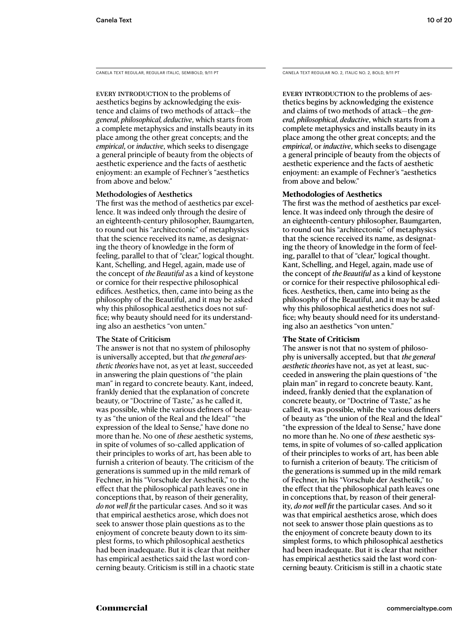CANELA TEXT REGULAR, REGULAR ITALIC, SEMIBOLD, 9/11 PT

EVERY INTRODUCTION to the problems of aesthetics begins by acknowledging the existence and claims of two methods of attack—the *general, philosophical, deductive*, which starts from a complete metaphysics and installs beauty in its place among the other great concepts; and the *empirical*, or *inductive*, which seeks to disengage a general principle of beauty from the objects of aesthetic experience and the facts of aesthetic enjoyment: an example of Fechner's "aesthetics from above and below."

## Methodologies of Aesthetics

The first was the method of aesthetics par excellence. It was indeed only through the desire of an eighteenth-century philosopher, Baumgarten, to round out his "architectonic" of metaphysics that the science received its name, as designating the theory of knowledge in the form of feeling, parallel to that of "clear," logical thought. Kant, Schelling, and Hegel, again, made use of the concept of *the Beautiful* as a kind of keystone or cornice for their respective philosophical edifices. Aesthetics, then, came into being as the philosophy of the Beautiful, and it may be asked why this philosophical aesthetics does not suffice; why beauty should need for its understanding also an aesthetics "von unten."

#### The State of Criticism

The answer is not that no system of philosophy is universally accepted, but that *the general aesthetic theories* have not, as yet at least, succeeded in answering the plain questions of "the plain man" in regard to concrete beauty. Kant, indeed, frankly denied that the explanation of concrete beauty, or "Doctrine of Taste," as he called it, was possible, while the various definers of beauty as "the union of the Real and the Ideal" "the expression of the Ideal to Sense," have done no more than he. No one of *these* aesthetic systems, in spite of volumes of so-called application of their principles to works of art, has been able to furnish a criterion of beauty. The criticism of the generations is summed up in the mild remark of Fechner, in his "Vorschule der Aesthetik," to the effect that the philosophical path leaves one in conceptions that, by reason of their generality, *do not well fit* the particular cases. And so it was that empirical aesthetics arose, which does not seek to answer those plain questions as to the enjoyment of concrete beauty down to its simplest forms, to which philosophical aesthetics had been inadequate. But it is clear that neither has empirical aesthetics said the last word concerning beauty. Criticism is still in a chaotic state CANELA TEXT REGULAR NO. 2, ITALIC NO. 2, BOLD, 9/11 PT

EVERY INTRODUCTION to the problems of aesthetics begins by acknowledging the existence and claims of two methods of attack—the *general, philosophical, deductive*, which starts from a complete metaphysics and installs beauty in its place among the other great concepts; and the *empirical*, or *inductive*, which seeks to disengage a general principle of beauty from the objects of aesthetic experience and the facts of aesthetic enjoyment: an example of Fechner's "aesthetics from above and below."

## **Methodologies of Aesthetics**

The first was the method of aesthetics par excellence. It was indeed only through the desire of an eighteenth-century philosopher, Baumgarten, to round out his "architectonic" of metaphysics that the science received its name, as designating the theory of knowledge in the form of feeling, parallel to that of "clear," logical thought. Kant, Schelling, and Hegel, again, made use of the concept of *the Beautiful* as a kind of keystone or cornice for their respective philosophical edifices. Aesthetics, then, came into being as the philosophy of the Beautiful, and it may be asked why this philosophical aesthetics does not suffice; why beauty should need for its understanding also an aesthetics "von unten."

# **The State of Criticism**

The answer is not that no system of philosophy is universally accepted, but that *the general aesthetic theories* have not, as yet at least, succeeded in answering the plain questions of "the plain man" in regard to concrete beauty. Kant, indeed, frankly denied that the explanation of concrete beauty, or "Doctrine of Taste," as he called it, was possible, while the various definers of beauty as "the union of the Real and the Ideal" "the expression of the Ideal to Sense," have done no more than he. No one of *these* aesthetic systems, in spite of volumes of so-called application of their principles to works of art, has been able to furnish a criterion of beauty. The criticism of the generations is summed up in the mild remark of Fechner, in his "Vorschule der Aesthetik," to the effect that the philosophical path leaves one in conceptions that, by reason of their generality, *do not well fit* the particular cases. And so it was that empirical aesthetics arose, which does not seek to answer those plain questions as to the enjoyment of concrete beauty down to its simplest forms, to which philosophical aesthetics had been inadequate. But it is clear that neither has empirical aesthetics said the last word concerning beauty. Criticism is still in a chaotic state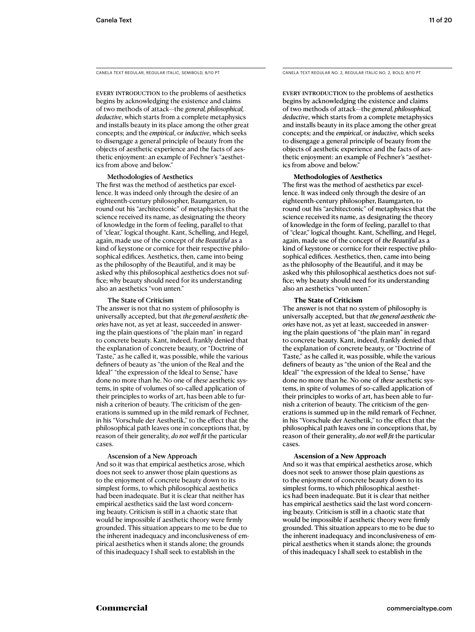CANELA TEXT REGULAR, REGULAR ITALIC, SEMIBOLD, 8/10 PT

EVERY INTRODUCTION to the problems of aesthetics begins by acknowledging the existence and claims of two methods of attack—the *general, philosophical, deductive*, which starts from a complete metaphysics and installs beauty in its place among the other great concepts; and the *empirical*, or *inductive*, which seeks to disengage a general principle of beauty from the objects of aesthetic experience and the facts of aesthetic enjoyment: an example of Fechner's "aesthetics from above and below."

#### Methodologies of Aesthetics

The first was the method of aesthetics par excellence. It was indeed only through the desire of an eighteenth-century philosopher, Baumgarten, to round out his "architectonic" of metaphysics that the science received its name, as designating the theory of knowledge in the form of feeling, parallel to that of "clear," logical thought. Kant, Schelling, and Hegel, again, made use of the concept of *the Beautiful* as a kind of keystone or cornice for their respective philosophical edifices. Aesthetics, then, came into being as the philosophy of the Beautiful, and it may be asked why this philosophical aesthetics does not suffice; why beauty should need for its understanding also an aesthetics "von unten."

#### The State of Criticism

The answer is not that no system of philosophy is universally accepted, but that *the general aesthetic theories* have not, as yet at least, succeeded in answering the plain questions of "the plain man" in regard to concrete beauty. Kant, indeed, frankly denied that the explanation of concrete beauty, or "Doctrine of Taste," as he called it, was possible, while the various definers of beauty as "the union of the Real and the Ideal" "the expression of the Ideal to Sense," have done no more than he. No one of *these* aesthetic systems, in spite of volumes of so-called application of their principles to works of art, has been able to furnish a criterion of beauty. The criticism of the generations is summed up in the mild remark of Fechner, in his "Vorschule der Aesthetik," to the effect that the philosophical path leaves one in conceptions that, by reason of their generality, *do not well fit* the particular cases.

#### Ascension of a New Approach

And so it was that empirical aesthetics arose, which does not seek to answer those plain questions as to the enjoyment of concrete beauty down to its simplest forms, to which philosophical aesthetics had been inadequate. But it is clear that neither has empirical aesthetics said the last word concerning beauty. Criticism is still in a chaotic state that would be impossible if aesthetic theory were firmly grounded. This situation appears to me to be due to the inherent inadequacy and inconclusiveness of empirical aesthetics when it stands alone; the grounds of this inadequacy I shall seek to establish in the

CANELA TEXT REGULAR NO. 2, REGULAR ITALIC NO. 2, BOLD, 8/10 PT

EVERY INTRODUCTION to the problems of aesthetics begins by acknowledging the existence and claims of two methods of attack—the *general, philosophical, deductive*, which starts from a complete metaphysics and installs beauty in its place among the other great concepts; and the *empirical*, or *inductive*, which seeks to disengage a general principle of beauty from the objects of aesthetic experience and the facts of aesthetic enjoyment: an example of Fechner's "aesthetics from above and below."

#### **Methodologies of Aesthetics**

The first was the method of aesthetics par excellence. It was indeed only through the desire of an eighteenth-century philosopher, Baumgarten, to round out his "architectonic" of metaphysics that the science received its name, as designating the theory of knowledge in the form of feeling, parallel to that of "clear," logical thought. Kant, Schelling, and Hegel, again, made use of the concept of *the Beautiful* as a kind of keystone or cornice for their respective philosophical edifices. Aesthetics, then, came into being as the philosophy of the Beautiful, and it may be asked why this philosophical aesthetics does not suffice; why beauty should need for its understanding also an aesthetics "von unten."

#### **The State of Criticism**

The answer is not that no system of philosophy is universally accepted, but that *the general aesthetic theories* have not, as yet at least, succeeded in answering the plain questions of "the plain man" in regard to concrete beauty. Kant, indeed, frankly denied that the explanation of concrete beauty, or "Doctrine of Taste," as he called it, was possible, while the various definers of beauty as "the union of the Real and the Ideal" "the expression of the Ideal to Sense," have done no more than he. No one of *these* aesthetic systems, in spite of volumes of so-called application of their principles to works of art, has been able to furnish a criterion of beauty. The criticism of the generations is summed up in the mild remark of Fechner, in his "Vorschule der Aesthetik," to the effect that the philosophical path leaves one in conceptions that, by reason of their generality, *do not well fit* the particular cases.

#### **Ascension of a New Approach**

And so it was that empirical aesthetics arose, which does not seek to answer those plain questions as to the enjoyment of concrete beauty down to its simplest forms, to which philosophical aesthetics had been inadequate. But it is clear that neither has empirical aesthetics said the last word concerning beauty. Criticism is still in a chaotic state that would be impossible if aesthetic theory were firmly grounded. This situation appears to me to be due to the inherent inadequacy and inconclusiveness of empirical aesthetics when it stands alone; the grounds of this inadequacy I shall seek to establish in the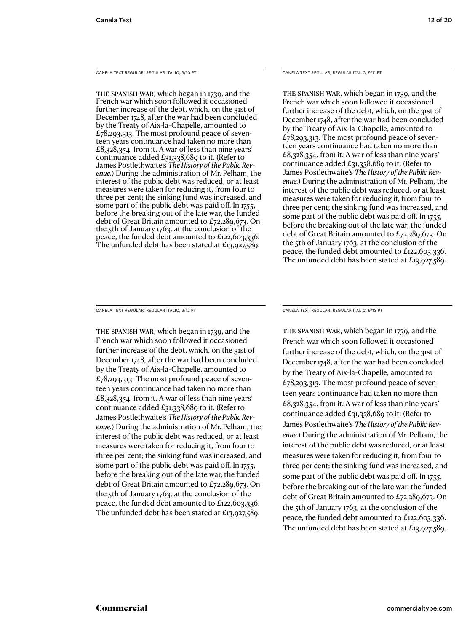CANELA TEXT REGULAR, REGULAR ITALIC, 9/10 PT

The Spanish War, which began in 1739, and the French war which soon followed it occasioned further increase of the debt, which, on the 31st of December 1748, after the war had been concluded by the Treaty of Aix-la-Chapelle, amounted to  $£78,293,313.$  The most profound peace of seventeen years continuance had taken no more than £8,328,354. from it. A war of less than nine years' continuance added £31,338,689 to it. (Refer to James Postlethwaite's *The History of the Public Revenue.*) During the administration of Mr. Pelham, the interest of the public debt was reduced, or at least measures were taken for reducing it, from four to three per cent; the sinking fund was increased, and some part of the public debt was paid off. In 1755, before the breaking out of the late war, the funded debt of Great Britain amounted to £72,289,673. On the 5th of January 1763, at the conclusion of the peace, the funded debt amounted to £122,603,336. The unfunded debt has been stated at £13,927,589.

CANELA TEXT REGULAR, REGULAR ITALIC, 9/11 PT

The Spanish War, which began in 1739, and the French war which soon followed it occasioned further increase of the debt, which, on the 31st of December 1748, after the war had been concluded by the Treaty of Aix-la-Chapelle, amounted to  $£78,293,313.$  The most profound peace of seventeen years continuance had taken no more than £8,328,354. from it. A war of less than nine years' continuance added £31,338,689 to it. (Refer to James Postlethwaite's *The History of the Public Revenue.*) During the administration of Mr. Pelham, the interest of the public debt was reduced, or at least measures were taken for reducing it, from four to three per cent; the sinking fund was increased, and some part of the public debt was paid off. In 1755, before the breaking out of the late war, the funded debt of Great Britain amounted to £72,289,673. On the 5th of January 1763, at the conclusion of the peace, the funded debt amounted to £122,603,336. The unfunded debt has been stated at £13,927,589.

CANELA TEXT REGULAR, REGULAR ITALIC, 9/12 PT

The Spanish War, which began in 1739, and the French war which soon followed it occasioned further increase of the debt, which, on the 31st of December 1748, after the war had been concluded by the Treaty of Aix-la-Chapelle, amounted to  $£78,293,313.$  The most profound peace of seventeen years continuance had taken no more than £8,328,354. from it. A war of less than nine years' continuance added £31,338,689 to it. (Refer to James Postlethwaite's *The History of the Public Revenue.*) During the administration of Mr. Pelham, the interest of the public debt was reduced, or at least measures were taken for reducing it, from four to three per cent; the sinking fund was increased, and some part of the public debt was paid off. In 1755, before the breaking out of the late war, the funded debt of Great Britain amounted to £72,289,673. On the 5th of January 1763, at the conclusion of the peace, the funded debt amounted to £122,603,336. The unfunded debt has been stated at £13,927,589.

CANELA TEXT REGULAR, REGULAR ITALIC, 9/13 PT

The Spanish War, which began in 1739, and the French war which soon followed it occasioned further increase of the debt, which, on the 31st of December 1748, after the war had been concluded by the Treaty of Aix-la-Chapelle, amounted to  $£78,293,313.$  The most profound peace of seventeen years continuance had taken no more than £8,328,354. from it. A war of less than nine years' continuance added £31,338,689 to it. (Refer to James Postlethwaite's *The History of the Public Revenue.*) During the administration of Mr. Pelham, the interest of the public debt was reduced, or at least measures were taken for reducing it, from four to three per cent; the sinking fund was increased, and some part of the public debt was paid off. In 1755, before the breaking out of the late war, the funded debt of Great Britain amounted to £72,289,673. On the 5th of January 1763, at the conclusion of the peace, the funded debt amounted to £122,603,336. The unfunded debt has been stated at £13,927,589.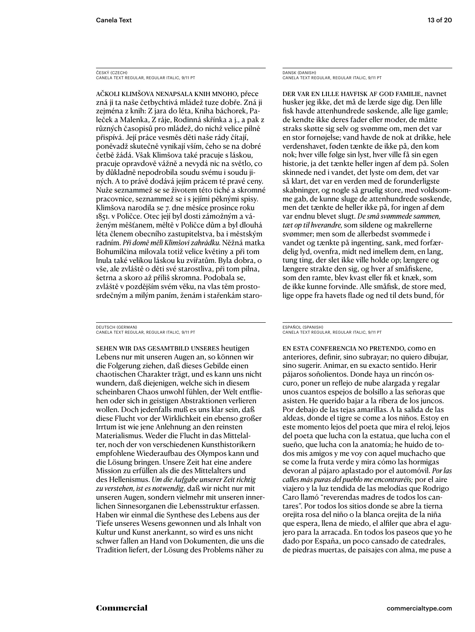ČESKÝ (CZECH) CANELA TEXT REGULAR, REGULAR ITALIC, 9/11 PT

Ačkoli klimšova nenapsala knih mnoho, přece zná ji ta naše četbychtivá mládež tuze dobře. Zná ji zejména z knih: Z jara do léta, Kniha báchorek, Paleček a Malenka, Z ráje, Rodinná skřínka a j., a pak z různých časopisů pro mládež, do nichž velice pilně přispívá. Její práce vesměs děti naše rády čítají, poněvadž skutečně vynikají vším, čeho se na dobré četbě žádá. Však Klimšova také pracuje s láskou, pracuje opravdově vážně a nevydá nic na světlo, co by důkladně nepodrobila soudu svému i soudu jiných. A to právě dodává jejím prácem té pravé ceny. Nuže seznammež se se životem této tiché a skromné pracovnice, seznammež se i s jejími pěknými spisy. Klimšova narodila se 7. dne měsíce prosince roku 1851. v Poličce. Otec její byl dosti zámožným a váženým měšťanem, měltě v Poličce dům a byl dlouhá léta členem obecního zastupitelstva, ba i městským radním. *Při domě měli Klimšovi zahrádku.* Něžná matka Bohumilčina milovala totiž velice květiny a při tom lnula také velikou láskou ku zvířatům. Byla dobra, o vše, ale zvláště o děti své starostliva, při tom pilna, šetrna a skoro až příliš skromna. Podobala se, zvláště v pozdějším svém věku, na vlas těm prostosrdečným a milým paním, ženám i stařenkám staro-

DEUTSCH (GERMAN) CANELA TEXT REGULAR, REGULAR ITALIC, 9/11 PT

Sehen wir das Gesamtbild unseres heutigen Lebens nur mit unseren Augen an, so können wir die Folgerung ziehen, daß dieses Gebilde einen chaotischen Charakter trägt, und es kann uns nicht wundern, daß diejenigen, welche sich in diesem scheinbaren Chaos unwohl fühlen, der Welt entfliehen oder sich in geistigen Abstraktionen verlieren wollen. Doch jedenfalls muß es uns klar sein, daß diese Flucht vor der Wirklichkeit ein ebenso großer Irrtum ist wie jene Anlehnung an den reinsten Materialismus. Weder die Flucht in das Mittelalter, noch der von verschiedenen Kunsthistorikern empfohlene Wiederaufbau des Olympos kann und die Lösung bringen. Unsere Zeit hat eine andere Mission zu erfüllen als die des Mittelalters und des Hellenismus. *Um die Aufgabe unserer Zeit richtig zu verstehen, ist es notwendig,* daß wir nicht nur mit unseren Augen, sondern vielmehr mit unseren innerlichen Sinnesorganen die Lebensstruktur erfassen. Haben wir einmal die Synthese des Lebens aus der Tiefe unseres Wesens gewonnen und als Inhalt von Kultur und Kunst anerkannt, so wird es uns nicht schwer fallen an Hand von Dokumenten, die uns die Tradition liefert, der Lösung des Problems näher zu

DANSK (DANISH) CANELA TEXT REGULAR, REGULAR ITALIC, 9/11 PT

Der var en lille havfisk af god familie, navnet husker jeg ikke, det må de lærde sige dig. Den lille fisk havde attenhundrede søskende, alle lige gamle; de kendte ikke deres fader eller moder, de måtte straks skøtte sig selv og svømme om, men det var en stor fornøjelse; vand havde de nok at drikke, hele verdenshavet, føden tænkte de ikke på, den kom nok; hver ville følge sin lyst, hver ville få sin egen historie, ja det tænkte heller ingen af dem på. Solen skinnede ned i vandet, det lyste om dem, det var så klart, det var en verden med de forunderligste skabninger, og nogle så gruelig store, med voldsomme gab, de kunne sluge de attenhundrede søskende, men det tænkte de heller ikke på, for ingen af dem var endnu blevet slugt. *De små svømmede sammen, tæt op til hverandre,* som sildene og makrellerne svømmer; men som de allerbedst svømmede i vandet og tænkte på ingenting, sank, med forfærdelig lyd, ovenfra, midt ned imellem dem, en lang, tung ting, der slet ikke ville holde op; længere og længere strakte den sig, og hver af småfiskene, som den ramte, blev kvast eller fik et knæk, som de ikke kunne forvinde. Alle småfisk, de store med, lige oppe fra havets flade og ned til dets bund, fór

En esta conferencia no pretendo, como en anteriores, definir, sino subrayar; no quiero dibujar, sino sugerir. Animar, en su exacto sentido. Herir pájaros soñolientos. Donde haya un rincón oscuro, poner un reflejo de nube alargada y regalar unos cuantos espejos de bolsillo a las señoras que asisten. He querido bajar a la ribera de los juncos. Por debajo de las tejas amarillas. A la salida de las aldeas, donde el tigre se come a los niños. Estoy en este momento lejos del poeta que mira el reloj, lejos del poeta que lucha con la estatua, que lucha con el sueño, que lucha con la anatomía; he huido de todos mis amigos y me voy con aquel muchacho que se come la fruta verde y mira cómo las hormigas devoran al pájaro aplastado por el automóvil. *Por las calles más puras del pueblo me encontraréis;* por el aire viajero y la luz tendida de las melodías que Rodrigo Caro llamó "reverendas madres de todos los cantares". Por todos los sitios donde se abre la tierna orejita rosa del niño o la blanca orejita de la niña que espera, llena de miedo, el alfiler que abra el agujero para la arracada. En todos los paseos que yo he dado por España, un poco cansado de catedrales, de piedras muertas, de paisajes con alma, me puse a

ESPAÑOL (SPANISH) CANELA TEXT REGULAR, REGULAR ITALIC, 9/11 PT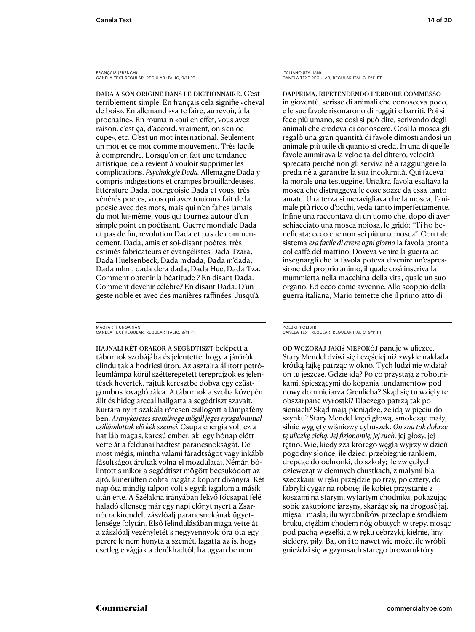FRANÇAIS (FRENCH) CANELA TEXT REGULAR, REGULAR ITALIC, 9/11 PT

Dada a son origine dans le dictionnaire. C'est terriblement simple. En français cela signifie «cheval de bois». En allemand «va te faire, au revoir, à la prochaine». En roumain «oui en effet, vous avez raison, c'est ça, d'accord, vraiment, on s'en occupe», etc. C'est un mot international. Seulement un mot et ce mot comme mouvement. Très facile à comprendre. Lorsqu'on en fait une tendance artistique, cela revient à vouloir supprimer les complications. *Psychologie Dada.* Allemagne Dada y compris indigestions et crampes brouillardeuses, littérature Dada, bourgeoisie Dada et vous, très vénérés poètes, vous qui avez toujours fait de la poésie avec des mots, mais qui n'en faites jamais du mot lui-même, vous qui tournez autour d'un simple point en poétisant. Guerre mondiale Dada et pas de fin, révolution Dada et pas de commencement. Dada, amis et soi-disant poètes, très estimés fabricateurs et évangélistes Dada Tzara, Dada Huelsenbeck, Dada m'dada, Dada m'dada, Dada mhm, dada dera dada, Dada Hue, Dada Tza. Comment obtenir la béatitude ? En disant Dada. Comment devenir célèbre? En disant Dada. D'un geste noble et avec des manières raffinées. Jusqu'à

MAGYAR (HUNGARIAN) CANELA TEXT REGULAR, REGULAR ITALIC, 9/11 PT

Hajnali két órakor a segédtiszt belépett a tábornok szobájába és jelentette, hogy a járőrök elindultak a hodricsi úton. Az asztalra állított petróleumlámpa körül szétteregetett tereprajzok és jelentések hevertek, rajtuk keresztbe dobva egy ezüstgombos lovaglópálca. A tábornok a szoba közepén állt és hideg arccal hallgatta a segédtiszt szavait. Kurtára nyírt szakála rőtesen csillogott a lámpafényben. *Aranykeretes szemüvege mögül jeges nyugalommal csillámlottak elő kék szemei.* Csupa energia volt ez a hat láb magas, karcsú ember, aki egy hónap előtt vette át a feldunai hadtest parancsnokságát. De most mégis, mintha valami fáradtságot vagy inkább fásultságot árultak volna el mozdulatai. Némán bólintott s mikor a segédtiszt mögött becsukódott az ajtó, kimerülten dobta magát a kopott díványra. Két nap óta mindig talpon volt s egyik izgalom a másik után érte. A Szélakna irányában fekvő főcsapat felé haladó ellenség már egy napi előnyt nyert a Zsarnócra kirendelt zászlóalj parancsnokának ügyetlensége folytán. Első felindulásában maga vette át a zászlóalj vezényletét s negyvennyolc óra óta egy percre le nem hunyta a szemét. Izgatta az is, hogy esetleg elvágják a derékhadtól, ha ugyan be nem

ITALIANO (ITALIAN) CANELA TEXT REGULAR, REGULAR ITALIC, 9/11 PT

Dapprima, ripetendendo l'errore commesso in gioventù, scrisse di animali che conosceva poco, e le sue favole risonarono di ruggiti e barriti. Poi si fece più umano, se così si può dire, scrivendo degli animali che credeva di conoscere. Così la mosca gli regalò una gran quantità di favole dimostrandosi un animale più utile di quanto si creda. In una di quelle favole ammirava la velocità del dittero, velocità sprecata perchè non gli serviva nè a raggiungere la preda nè a garantire la sua incolumità. Qui faceva la morale una testuggine. Un'altra favola esaltava la mosca che distruggeva le cose sozze da essa tanto amate. Una terza si meravigliava che la mosca, l'animale più ricco d'occhi, veda tanto imperfettamente. Infine una raccontava di un uomo che, dopo di aver schiacciato una mosca noiosa, le gridò: "Ti ho beneficata; ecco che non sei più una mosca". Con tale sistema *era facile di avere ogni giorno* la favola pronta col caffè del mattino. Doveva venire la guerra ad insegnargli che la favola poteva divenire un'espressione del proprio animo, il quale così inseriva la mummietta nella macchina della vita, quale un suo organo. Ed ecco come avvenne. Allo scoppio della guerra italiana, Mario temette che il primo atto di

POLSKI (POLISH) CANELA TEXT REGULAR, REGULAR ITALIC, 9/11 PT

Od wczoraj jakiś niepokój panuje w uliczce. Stary Mendel dziwi się i częściej niż zwykle nakłada krótką łajkę patrząc w okno. Tych ludzi nie widział on tu jeszcze. Gdzie idą? Po co przystają z robotnikami, śpieszącymi do kopania fundamentów pod nowy dom niciarza Greulicha? Skąd się tu wzięły te obszarpane wyrostki? Dlaczego patrzą tak po sieniach? Skąd mają pieniądze, że idą w pięciu do szynku? Stary Mendel kręci głową, smokcząc mały, silnie wygięty wiśniowy cybuszek. *On zna tak dobrze tę uliczkę cichą. Jej fizjonomię, jej ruch.* jej głosy, jej tętno. Wie, kiedy zza którego węgła wyjrzy w dzień pogodny słońce; ile dzieci przebiegnie rankiem, drepcąc do ochronki, do szkoły; ile zwiędłych dziewcząt w ciemnych chustkach, z małymi blaszeczkami w ręku przejdzie po trzy, po cztery, do fabryki cygar na robotę; ile kobiet przystanie z koszami na starym, wytartym chodniku, pokazując sobie zakupione jarzyny, skarżąc się na drogość jaj, mięsa i masła; ilu wyrobników przecłapie środkiem bruku, ciężkim chodem nóg obutych w trepy, niosąc pod pachą węzełki, a w ręku cebrzyki, kielnie, liny. siekiery, piły. Ba, on i to nawet wie może. ile wróbli gnieździ się w gzymsach starego browaruktóry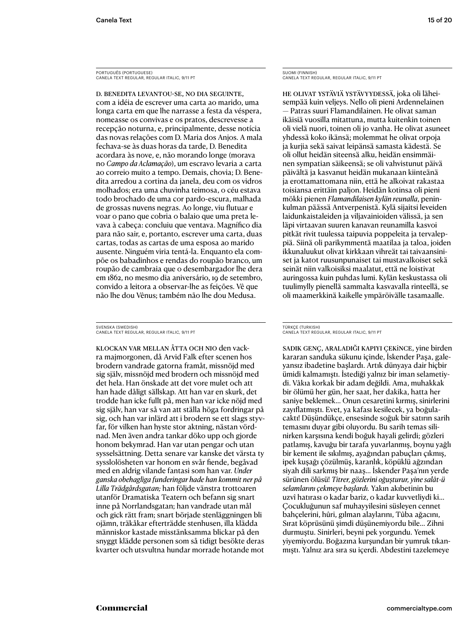PORTUGUÊS (PORTUGUESE) CANELA TEXT REGULAR, REGULAR ITALIC, 9/11 PT

D. Benedita levantou-se, no dia seguinte, com a idéia de escrever uma carta ao marido, uma longa carta em que lhe narrasse a festa da véspera, nomeasse os convivas e os pratos, descrevesse a recepção noturna, e, principalmente, desse notícia das novas relações com D. Maria dos Anjos. A mala fechava-se às duas horas da tarde, D. Benedita acordara às nove, e, não morando longe (morava no *Campo da Aclamação*), um escravo levaria a carta ao correio muito a tempo. Demais, chovia; D. Benedita arredou a cortina da janela, deu com os vidros molhados; era uma chuvinha teimosa, o céu estava todo brochado de uma cor pardo-escura, malhada de grossas nuvens negras. Ao longe, viu flutuar e voar o pano que cobria o balaio que uma preta levava à cabeça: concluiu que ventava. Magnífico dia para não sair, e, portanto, escrever uma carta, duas cartas, todas as cartas de uma esposa ao marido ausente. Ninguém viria tentá-la. Enquanto ela compõe os babadinhos e rendas do roupão branco, um roupão de cambraia que o desembargador lhe dera em 1862, no mesmo dia aniversário, 19 de setembro, convido a leitora a observar-lhe as feições. Vê que não lhe dou Vênus; também não lhe dou Medusa.

SVENSKA (SWEDISH) CANELA TEXT REGULAR, REGULAR ITALIC, 9/11 PT

Klockan var mellan åtta och nio den vackra majmorgonen, då Arvid Falk efter scenen hos brodern vandrade gatorna framåt, missnöjd med sig själv, missnöjd med brodern och missnöjd med det hela. Han önskade att det vore mulet och att han hade dåligt sällskap. Att han var en skurk, det trodde han icke fullt på, men han var icke nöjd med sig själv, han var så van att ställa höga fordringar på sig, och han var inlärd att i brodern se ett slags styvfar, för vilken han hyste stor aktning, nästan vördnad. Men även andra tankar döko upp och gjorde honom bekymrad. Han var utan pengar och utan sysselsättning. Detta senare var kanske det värsta ty sysslolösheten var honom en svår fiende, begåvad med en aldrig vilande fantasi som han var. *Under ganska obehagliga funderingar hade han kommit ner på Lilla Trädgårdsgatan;* han följde vänstra trottoaren utanför Dramatiska Teatern och befann sig snart inne på Norrlandsgatan; han vandrade utan mål och gick rätt fram; snart började stenläggningen bli ojämn, träkåkar efterträdde stenhusen, illa klädda människor kastade misstänksamma blickar på den snyggt klädde personen som så tidigt besökte deras kvarter och utsvultna hundar morrade hotande mot

SUOMI (FINNISH) CANELA TEXT REGULAR, REGULAR ITALIC, 9/11 PT

He olivat ystäviä ystävyydessä, joka oli läheisempää kuin veljeys. Nello oli pieni Ardennelainen — Patras suuri Flamandilainen. He olivat saman ikäisiä vuosilla mitattuna, mutta kuitenkin toinen oli vielä nuori, toinen oli jo vanha. He olivat asuneet yhdessä koko ikänsä; molemmat he olivat orpoja ja kurjia sekä saivat leipänsä samasta kädestä. Se oli ollut heidän siteensä alku, heidän ensimmäinen sympatian säikeensä; se oli vahvistunut päivä päivältä ja kasvanut heidän mukanaan kiinteänä ja erottamattomana niin, että he alkoivat rakastaa toisiansa erittäin paljon. Heidän kotinsa oli pieni mökki pienen *Flamandilaisen kylän reunalla*, peninkulman päässä Antverpenistä. Kylä sijaitsi leveiden laidunkaistaleiden ja viljavainioiden välissä, ja sen läpi virtaavan suuren kanavan reunamilla kasvoi pitkät rivit tuulessa taipuvia poppeleita ja tervaleppiä. Siinä oli parikymmentä maatilaa ja taloa, joiden ikkunaluukut olivat kirkkaan vihreät tai taivaansiniset ja katot ruusunpunaiset tai mustavalkoiset sekä seinät niin valkoisiksi maalatut, että ne loistivat auringossa kuin puhdas lumi. Kylän keskustassa oli tuulimylly pienellä sammalta kasvavalla rinteellä, se oli maamerkkinä kaikelle ympäröivälle tasamaalle.

Sadık genç, araladığı kapıyı çekince, yine birden kararan sanduka sükunu içinde, İskender Paşa, galeyansız ibadetine başlardı. Artık dünyaya dair hiçbir ümidi kalmamıştı. İstediği yalnız bir iman selametiydi. Vâkıa korkak bir adam değildi. Ama, muhakkak bir ölümü her gün, her saat, her dakika, hatta her saniye beklemek… Onun cesaretini kırmış, sinirlerini zayıflatmıştı. Evet, ya kafası kesilecek, ya boğulacaktı! Düşündükçe, ensesinde soğuk bir satırın sarih temasını duyar gibi oluyordu. Bu sarih temas silinirken karşısına kendi boğuk hayali gelirdi; gözleri patlamış, kavuğu bir tarafa yuvarlanmış, boynu yağlı bir kement ile sıkılmış, ayağından pabuçları çıkmış, ipek kuşağı çözülmüş, karanlık, köpüklü ağzından siyah dili sarkmış bir naaş… İskender Paşa'nın yerde sürünen ölüsü! *Titrer, gözlerini oğuşturur, yine salât-ü selamlarını çekmeye başlardı.* Yakın akıbetinin bu uzvî hatırası o kadar bariz, o kadar kuvvetliydi ki… Çocukluğunun saf muhayyilesini süsleyen cennet bahçelerini, hûri, gılman alaylarını, Tûba ağacını, Sırat köprüsünü şimdi düşünemiyordu bile… Zihni durmuştu. Sinirleri, beyni pek yorgundu. Yemek yiyemiyordu. Boğazına kurşundan bir yumruk tıkanmıştı. Yalnız ara sıra su içerdi. Abdestini tazelemeye

TÜRKÇE (TURKISH) CANELA TEXT REGULAR, REGULAR ITALIC, 9/11 PT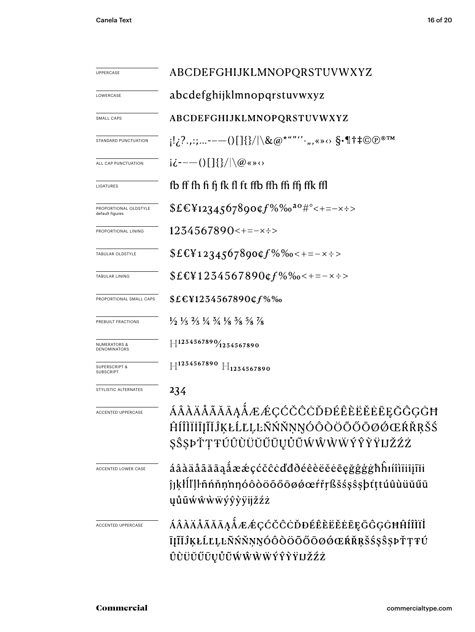| UPPERCASE                                    | ABCDEFGHIJKLMNOPQRSTUVWXYZ                                                                                                        |  |  |  |  |
|----------------------------------------------|-----------------------------------------------------------------------------------------------------------------------------------|--|--|--|--|
| LOWERCASE                                    | abcdefghijklmnopqrstuvwxyz                                                                                                        |  |  |  |  |
| SMALL CAPS                                   | ABCDEFGHIJKLMNOPQRSTUVWXYZ                                                                                                        |  |  |  |  |
| STANDARD PUNCTUATION                         | $\{1,2^2,\ldots---()$ $[1\}\}/\setminus\&\@^{*^{u.v\,\prime\prime}}\cdot\ldots\cdot\otimes\S\cdot\P$ † ‡© $\copyright$ ®™         |  |  |  |  |
| ALL CAP PUNCTUATION                          | $i\dot{\zeta}$ – – () $\left[\frac{1}{2}\right]$ $\left(\frac{1}{2}\right)$ $\left(\frac{1}{2}\right)$ $\left(\frac{1}{2}\right)$ |  |  |  |  |
| LIGATURES                                    | fb ff fh fi fi fk fl ft ffb ffh ffi ffj ffk ffl                                                                                   |  |  |  |  |
| PROPORTIONAL OLDSTYLE<br>default figures     | $$E\&Y$ 1234567890¢f%‰ <sup>ao</sup> #°<+=-×÷>                                                                                    |  |  |  |  |
| PROPORTIONAL LINING                          | $1234567890 \leftrightarrow \pm \pm \times \pm \times$                                                                            |  |  |  |  |
| TABULAR OLDSTYLE                             | $$EE_{12345678900f\%}\%o<+=-x\div$$                                                                                               |  |  |  |  |
| TABULAR LINING                               | $$E$ E\1234567890¢f%%o<+=-x:>                                                                                                     |  |  |  |  |
| PROPORTIONAL SMALL CAPS                      | $$E\in$ ¥1234567890¢f%‰                                                                                                           |  |  |  |  |
| PREBUILT FRACTIONS                           | $\frac{1}{2}$ $\frac{1}{3}$ $\frac{2}{3}$ $\frac{1}{4}$ $\frac{3}{4}$ $\frac{1}{8}$ $\frac{5}{8}$ $\frac{5}{8}$ $\frac{7}{8}$     |  |  |  |  |
| <b>NUMERATORS &amp;</b><br>DENOMINATORS      | $\left  \right $ 1234567890 $\left  \right $ 1234567890                                                                           |  |  |  |  |
| <b>SUPERSCRIPT &amp;</b><br><b>SUBSCRIPT</b> | $H^{1234567890} H_{1234567890}$                                                                                                   |  |  |  |  |
| STYLISTIC ALTERNATES                         | 234                                                                                                                               |  |  |  |  |
| <b>ACCENTED UPPERCASE</b>                    | ÁÂÀÄÅÃĂĀĄÅÆÆÇĆČĈĊĎĐÉÊÈËĔĖĒĘĞĜĢĠĦ<br>ĤĺĨÌÏĬĪĮĨĬĴĶŁĹĽĻĿÑŃŇŅŊÓÔÒÖÕŐŌØŐŒŔŘŖŠŚ<br>ŞŜŞÞŤŢŦÚÛÙÜŬŰŪŲŮŨŴŴŴŴÝŶŶŸIJŽŹŻ                       |  |  |  |  |
| <b>ACCENTED LOWER CASE</b>                   | áâàäåããāąåææçćčĉċďđðéêèëĕēęğĝģġħĥıíîìïiīįĩĭi<br>ĵjķłĺľļŀñńňņ'nŋóôòöõőōøøœŕřŗßšśşŝşþťṭŧúûùüŭűū<br>yůũẃŵẁẅýŷỳÿijžźż                 |  |  |  |  |
| <b>ACCENTED UPPERCASE</b>                    | ÁÂÀÄÅÃĂĀĄÅÆÆÇĆČĈĊĎĐÉÊÈĔĔĔĒĘĞĜĢĠĦĤÍÎÌÏİ<br>ĪĮĨĬĴĶŁĹĽĻĿÑŃŇŅŊÓÔÒÖÕŐŌØŐŒŔŘŖŠŚŞŜŞÞŤŢŦÚ<br>ÛÙÜŬŰŪŲŮŨŴŴŴŴÝŶŶŸIJŽŹŻ                       |  |  |  |  |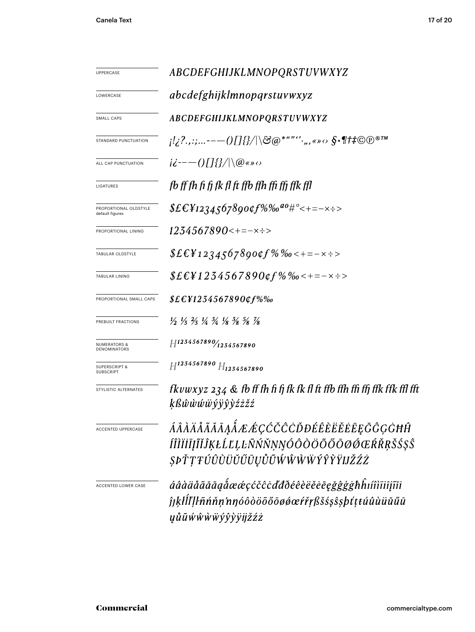| UPPERCASE                                    | <i>ABCDEFGHIJKLMNOPQRSTUVWXYZ</i>                                                                                             |  |  |  |  |
|----------------------------------------------|-------------------------------------------------------------------------------------------------------------------------------|--|--|--|--|
| LOWERCASE                                    | abcdefghijklmnopqrstuvwxyz                                                                                                    |  |  |  |  |
| SMALL CAPS                                   | ABCDEFGHIJKLMNOPQRSTUVWXYZ                                                                                                    |  |  |  |  |
| STANDARD PUNCTUATION                         | $\{l_1^1,l_2^2,\ldots---O\}$ $\{l_1^1,l_2^2/\ldots---O\}$ $\{l_2^1,l_2^2/\ldots-O\}$ $\{l_1^1,l_2^2/\ldots-O\}$               |  |  |  |  |
| ALL CAP PUNCTUATION                          | $i\dot{\epsilon}$ --- ()[]{}/ \@«» $\circ$                                                                                    |  |  |  |  |
| LIGATURES                                    | fb ff fh fi fj fk fl ft ffb ffh ffi ffj ffk ffl                                                                               |  |  |  |  |
| PROPORTIONAL OLDSTYLE<br>default figures     | $$EEY1234567890$ ff%%0 <sup>a0#°</sup> <+=-x÷>                                                                                |  |  |  |  |
| PROPORTIONAL LINING                          | $1234567890 \leftarrow \leftarrow \leftarrow \leftarrow \leftarrow$                                                           |  |  |  |  |
| TABULAR OLDSTYLE                             | $$EEY1234567890$ of % $\%$ $\%$ = - $\times$ $\div$ >                                                                         |  |  |  |  |
| TABULAR LINING                               | $$EEY1234567890$ of % % $\leftarrow$ + = - $\times$ ÷ >                                                                       |  |  |  |  |
| PROPORTIONAL SMALL CAPS                      | $$EE41234567890$ cf%‰                                                                                                         |  |  |  |  |
| PREBUILT FRACTIONS                           | $\frac{1}{2}$ $\frac{1}{3}$ $\frac{2}{3}$ $\frac{1}{4}$ $\frac{3}{4}$ $\frac{1}{8}$ $\frac{3}{8}$ $\frac{5}{8}$ $\frac{7}{8}$ |  |  |  |  |
| <b>NUMERATORS &amp;</b><br>DENOMINATORS      | $H^{1234567890}/_{1254567890}$                                                                                                |  |  |  |  |
| <b>SUPERSCRIPT &amp;</b><br><b>SUBSCRIPT</b> | $H^{1234567890}$ $H_{1234567890}$                                                                                             |  |  |  |  |
| STYLISTIC ALTERNATES                         | fkvwxyz 234 $\&$ fb ff fh fi fj fk fk fl ft ffb ffh ffi ffj ffk ffk ffl fft<br><i>ķßŵŵŵŵ</i> ÿŷŷŷźżžź                         |  |  |  |  |
| <b>ACCENTED UPPERCASE</b>                    | ÁÂÀÄÅÃĂĀĄÁÆÆÇĆČĈÒĐÉÊÈËĔĒĘĞĜĢĠĦĤ                                                                                               |  |  |  |  |
|                                              | ÍÎÌÏİĪĮĨĬĴĶŁĹĽĻĿÑŃŇŅŊÓÔÒÖÕŐŌØØŒŔŘRŠŚŞŜ<br>ŞÞŤŢŦÚÛÙÜŬŰŪŲŮŨŴŴŴŴŶŶŶŸIJŽŹŻ                                                        |  |  |  |  |
| ACCENTED LOWER CASE                          | áâàäåããāąåææçćčĉċďđðéêèëěēęğĝģġħĥıíîìïiiįĩĭi<br>ĵjķłĺľļŀñńňņ'nŋóôòöõőōøøœŕřŗßšśşŝşþťṭtúûùüŭűū                                 |  |  |  |  |
|                                              | <i>ųůũŵŵẁŵýŷỳÿijžźż</i>                                                                                                       |  |  |  |  |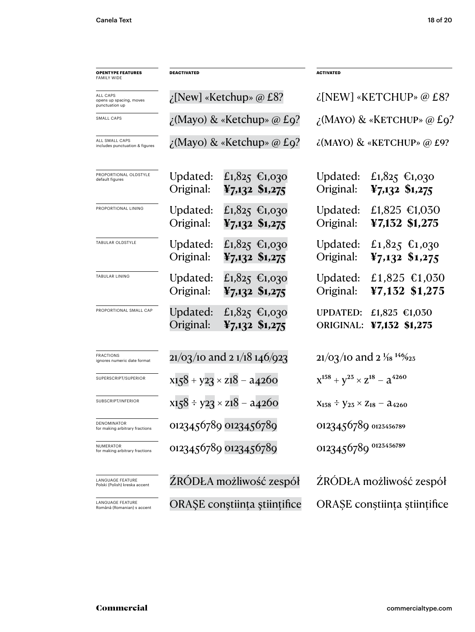| <b>OPENTYPE FEATURES</b><br><b>FAMILY WIDE</b>        | <b>DEACTIVATED</b>    |                                                | <b>ACTIVATED</b>                                     |                                             |  |
|-------------------------------------------------------|-----------------------|------------------------------------------------|------------------------------------------------------|---------------------------------------------|--|
| ALL CAPS<br>opens up spacing, moves<br>punctuation up |                       | $\chi$ [New] «Ketchup» @ £8?                   | $\lambda$ [NEW] «KETCHUP» @ £8?                      |                                             |  |
| SMALL CAPS                                            |                       | $\chi$ (Mayo) & «Ketchup» @ £9?                | $\chi$ (MAYO) & «KETCHUP» @ £9?                      |                                             |  |
| ALL SMALL CAPS<br>includes punctuation & figures      |                       | $\chi$ (Mayo) & «Ketchup» @ £9?                | $\lambda$ (MAYO) & «KETCHUP» @ £9?                   |                                             |  |
| PROPORTIONAL OLDSTYLE<br>default figures              | Updated:<br>Original: | £1,825 €1,030<br>$\frac{12}{7,132}$ \$1,275    | Updated:<br>Original:                                | £1,825 €1,030<br>$\frac{12}{7,132}$ \$1,275 |  |
| PROPORTIONAL LINING                                   | Updated:<br>Original: | £1,825 €1,030<br>$\frac{15}{2}$ ,132 \$1,275   | Updated:<br>Original:                                | £1,825 $\text{£}1,030$<br>¥7,132 \$1,275    |  |
| TABULAR OLDSTYLE                                      | Updated:<br>Original: | £1,825 €1,030<br>$\frac{12}{7,132}$ \$1,275    | Updated:<br>Original:                                | £1,825 €1,030<br>$\frac{1}{2}$ ,132 \$1,275 |  |
| TABULAR LINING                                        | Updated:<br>Original: | £1,825 €1,030<br>$\frac{12}{7,132}$ \$1,275    | Updated:<br>Original:                                | £1,825 $£1,030$<br>¥7,132 \$1,275           |  |
| PROPORTIONAL SMALL CAP                                | Updated:<br>Original: | £1,825 €1,030<br>$\frac{15}{2}$ , 132 \$1, 275 | <b>UPDATED:</b><br><b>ORIGINAL:</b>                  | £1,825 $£1,030$<br>¥7,132 \$1,275           |  |
| <b>FRACTIONS</b><br>ignores numeric date format       |                       | $21/03/10$ and 2 $1/18$ 146/023                | $21/03/10$ and $2\frac{1}{18}$ <sup>146</sup> /925   |                                             |  |
| SUPERSCRIPT/SUPERIOR                                  |                       | $x158 + y23 \times z18 - a4260$                | $X^{158} + Y^{25} \times Z^{18} - Z^{4260}$          |                                             |  |
| SUBSCRIPT/INFERIOR                                    |                       | $x158 \div y23 \times z18 - a4260$             | $X_{158} \div Y_{25} \times Z_{18} - \lambda_{4260}$ |                                             |  |
| DENOMINATOR<br>for making arbitrary fractions         |                       | 0123456789 0123456789                          | 0123456789 0123456789                                |                                             |  |
| NUMERATOR<br>for making arbitrary fractions           |                       | 0123456789 0123456789                          | 0123456789 0123456789                                |                                             |  |
| LANGUAGE FEATURE<br>Polski (Polish) kreska accent     |                       | ŹRÓDŁA możliwość zespół                        | ŹRÓDŁA możliwość zespół                              |                                             |  |
| LANGUAGE FEATURE<br>Română (Romanian) s accent        |                       | ORAȘE conștiința științifice                   | ORAȘE conștiința științifice                         |                                             |  |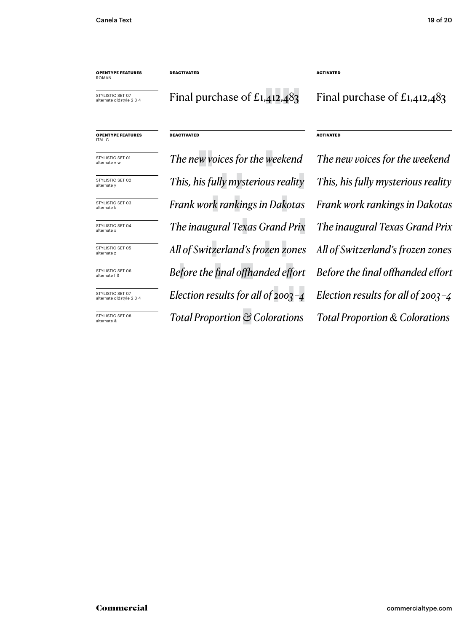**OPENTYPE FEATURES** ROMAN

**DEACTIVATED ACTIVATED**

STYLISTIC SET 07 alternate oldstyle 2 3 4

Final purchase of  $E1,412,483$  Final purchase of  $E1,412,483$ 

# **OPENTYPE FEATURES** ITALIC

STYLISTIC SET 01 alternate v w STYLISTIC SET 02 alternate y

STYLISTIC SET 03 alternate k

STYLISTIC SET 04 alternate >

STYLISTIC SET 05 alternate z

STYLISTIC SET 06 alternate f ß

STYLISTIC SET 07 alternate oldstyle 2 3 4

STYLISTIC SET 08 alternate &

*The new voices for the weekend The new voices for the weekend The inaugural Texas Grand Prix The inaugural Texas Grand Prix All of Switzerland's frozen zones All of Switzerland's frozen zones Before the final offhanded effort Before the final offhanded effort Election results for all of 2003 –4 Election results for all of 2003 –4 Total Proportion & Colorations Total Proportion & Colorations This, his fully mysterious reality This, his fully mysterious reality Frank work rankings in Dakotas Frank work rankings in Dakotas*

**DEACTIVATED ACTIVATED**